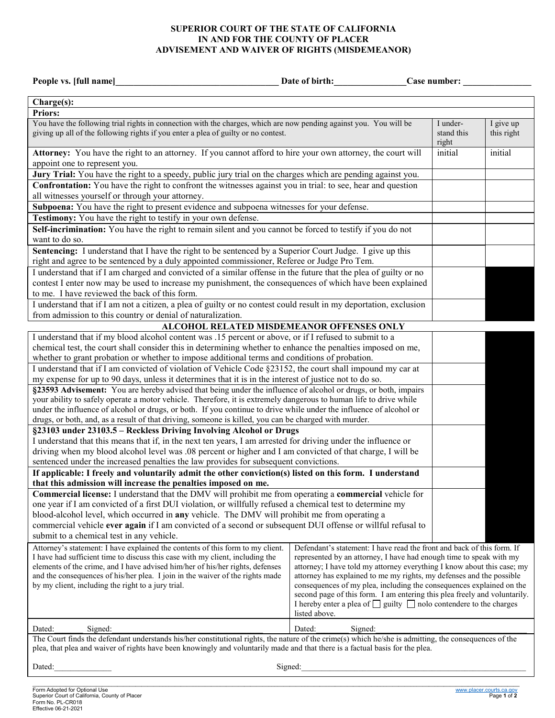## **SUPERIOR COURT OF THE STATE OF CALIFORNIA IN AND FOR THE COUNTY OF PLACER ADVISEMENT AND WAIVER OF RIGHTS (MISDEMEANOR)**

| People vs. [full name]                                                                                                                                                                                  | Date of birth:                                                                                                                                 | Case number:                      |
|---------------------------------------------------------------------------------------------------------------------------------------------------------------------------------------------------------|------------------------------------------------------------------------------------------------------------------------------------------------|-----------------------------------|
| Charge(s):                                                                                                                                                                                              |                                                                                                                                                |                                   |
| <b>Priors:</b>                                                                                                                                                                                          |                                                                                                                                                |                                   |
| You have the following trial rights in connection with the charges, which are now pending against you. You will be                                                                                      |                                                                                                                                                | I give up<br>I under-             |
| giving up all of the following rights if you enter a plea of guilty or no contest.                                                                                                                      |                                                                                                                                                | stand this<br>this right<br>right |
| Attorney: You have the right to an attorney. If you cannot afford to hire your own attorney, the court will<br>appoint one to represent you.                                                            |                                                                                                                                                | initial<br>initial                |
| Jury Trial: You have the right to a speedy, public jury trial on the charges which are pending against you.                                                                                             |                                                                                                                                                |                                   |
| Confrontation: You have the right to confront the witnesses against you in trial: to see, hear and question                                                                                             |                                                                                                                                                |                                   |
| all witnesses yourself or through your attorney.                                                                                                                                                        |                                                                                                                                                |                                   |
| Subpoena: You have the right to present evidence and subpoena witnesses for your defense.                                                                                                               |                                                                                                                                                |                                   |
| Testimony: You have the right to testify in your own defense.                                                                                                                                           |                                                                                                                                                |                                   |
| Self-incrimination: You have the right to remain silent and you cannot be forced to testify if you do not                                                                                               |                                                                                                                                                |                                   |
| want to do so.                                                                                                                                                                                          |                                                                                                                                                |                                   |
| Sentencing: I understand that I have the right to be sentenced by a Superior Court Judge. I give up this<br>right and agree to be sentenced by a duly appointed commissioner, Referee or Judge Pro Tem. |                                                                                                                                                |                                   |
| I understand that if I am charged and convicted of a similar offense in the future that the plea of guilty or no                                                                                        |                                                                                                                                                |                                   |
| contest I enter now may be used to increase my punishment, the consequences of which have been explained<br>to me. I have reviewed the back of this form.                                               |                                                                                                                                                |                                   |
| I understand that if I am not a citizen, a plea of guilty or no contest could result in my deportation, exclusion<br>from admission to this country or denial of naturalization.                        |                                                                                                                                                |                                   |
| ALCOHOL RELATED MISDEMEANOR OFFENSES ONLY                                                                                                                                                               |                                                                                                                                                |                                   |
| I understand that if my blood alcohol content was .15 percent or above, or if I refused to submit to a                                                                                                  |                                                                                                                                                |                                   |
| chemical test, the court shall consider this in determining whether to enhance the penalties imposed on me,                                                                                             |                                                                                                                                                |                                   |
| whether to grant probation or whether to impose additional terms and conditions of probation.                                                                                                           |                                                                                                                                                |                                   |
| I understand that if I am convicted of violation of Vehicle Code §23152, the court shall impound my car at                                                                                              |                                                                                                                                                |                                   |
| my expense for up to 90 days, unless it determines that it is in the interest of justice not to do so.                                                                                                  |                                                                                                                                                |                                   |
| §23593 Advisement: You are hereby advised that being under the influence of alcohol or drugs, or both, impairs                                                                                          |                                                                                                                                                |                                   |
| your ability to safely operate a motor vehicle. Therefore, it is extremely dangerous to human life to drive while                                                                                       |                                                                                                                                                |                                   |
| under the influence of alcohol or drugs, or both. If you continue to drive while under the influence of alcohol or                                                                                      |                                                                                                                                                |                                   |
| drugs, or both, and, as a result of that driving, someone is killed, you can be charged with murder.                                                                                                    |                                                                                                                                                |                                   |
| §23103 under 23103.5 - Reckless Driving Involving Alcohol or Drugs                                                                                                                                      |                                                                                                                                                |                                   |
| I understand that this means that if, in the next ten years, I am arrested for driving under the influence or                                                                                           |                                                                                                                                                |                                   |
| driving when my blood alcohol level was .08 percent or higher and I am convicted of that charge, I will be                                                                                              |                                                                                                                                                |                                   |
| sentenced under the increased penalties the law provides for subsequent convictions.                                                                                                                    |                                                                                                                                                |                                   |
| If applicable: I freely and voluntarily admit the other conviction(s) listed on this form. I understand<br>that this admission will increase the penalties imposed on me.                               |                                                                                                                                                |                                   |
| Commercial license: I understand that the DMV will prohibit me from operating a commercial vehicle for                                                                                                  |                                                                                                                                                |                                   |
| one year if I am convicted of a first DUI violation, or willfully refused a chemical test to determine my                                                                                               |                                                                                                                                                |                                   |
| blood-alcohol level, which occurred in any vehicle. The DMV will prohibit me from operating a                                                                                                           |                                                                                                                                                |                                   |
| commercial vehicle ever again if I am convicted of a second or subsequent DUI offense or willful refusal to                                                                                             |                                                                                                                                                |                                   |
| submit to a chemical test in any vehicle.                                                                                                                                                               |                                                                                                                                                |                                   |
| Attorney's statement: I have explained the contents of this form to my client.                                                                                                                          | Defendant's statement: I have read the front and back of this form. If                                                                         |                                   |
| I have had sufficient time to discuss this case with my client, including the<br>elements of the crime, and I have advised him/her of his/her rights, defenses                                          | represented by an attorney, I have had enough time to speak with my<br>attorney; I have told my attorney everything I know about this case; my |                                   |
| and the consequences of his/her plea. I join in the waiver of the rights made                                                                                                                           | attorney has explained to me my rights, my defenses and the possible                                                                           |                                   |
| by my client, including the right to a jury trial.                                                                                                                                                      | consequences of my plea, including the consequences explained on the                                                                           |                                   |
|                                                                                                                                                                                                         | second page of this form. I am entering this plea freely and voluntarily.                                                                      |                                   |
|                                                                                                                                                                                                         | I hereby enter a plea of $\Box$ guilty $\Box$ nolo contendere to the charges                                                                   |                                   |
|                                                                                                                                                                                                         | listed above.                                                                                                                                  |                                   |
| Dated:<br>Signed:                                                                                                                                                                                       | Dated:<br>Signed:                                                                                                                              |                                   |
| The Court finds the defendant understands his/her constitutional rights, the nature of the crime(s) which he/she is admitting, the consequences of the                                                  |                                                                                                                                                |                                   |
| plea, that plea and waiver of rights have been knowingly and voluntarily made and that there is a factual basis for the plea.                                                                           |                                                                                                                                                |                                   |